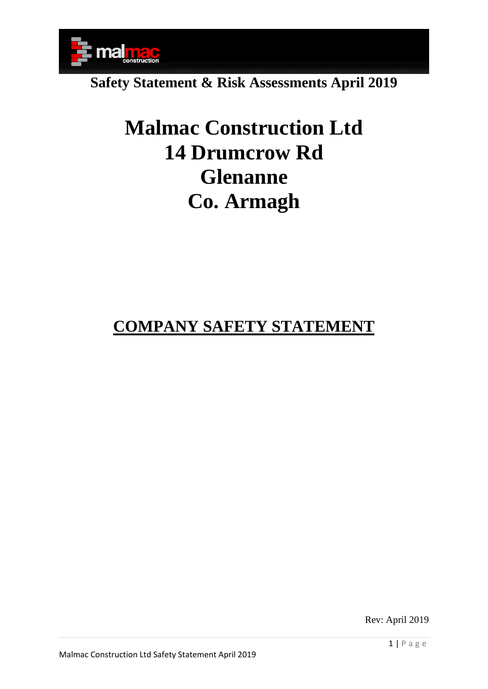

# **Malmac Construction Ltd 14 Drumcrow Rd Glenanne Co. Armagh**

### **COMPANY SAFETY STATEMENT**

Rev: April 2019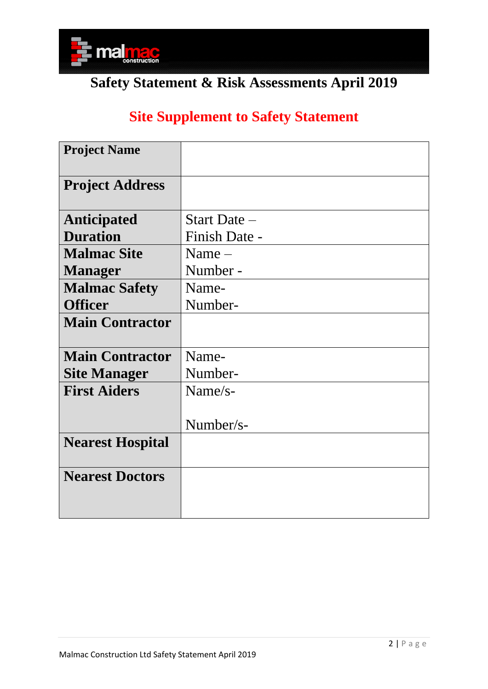

### **Site Supplement to Safety Statement**

| <b>Project Name</b>     |                |
|-------------------------|----------------|
| <b>Project Address</b>  |                |
| <b>Anticipated</b>      | Start Date $-$ |
| <b>Duration</b>         | Finish Date -  |
| <b>Malmac Site</b>      | Name $-$       |
| <b>Manager</b>          | Number -       |
| <b>Malmac Safety</b>    | Name-          |
| <b>Officer</b>          | Number-        |
| <b>Main Contractor</b>  |                |
| <b>Main Contractor</b>  | Name-          |
| <b>Site Manager</b>     | Number-        |
| <b>First Aiders</b>     | $Name/s-$      |
|                         | Number/s-      |
| <b>Nearest Hospital</b> |                |
| <b>Nearest Doctors</b>  |                |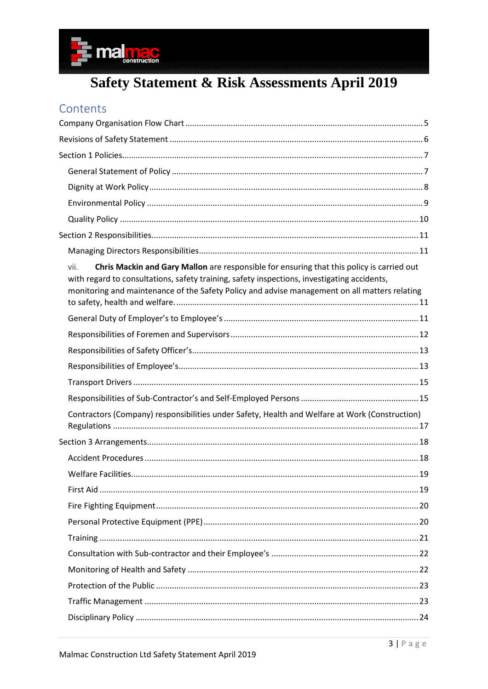

### Contents

| Chris Mackin and Gary Mallon are responsible for ensuring that this policy is carried out<br>vii.<br>with regard to consultations, safety training, safety inspections, investigating accidents,<br>monitoring and maintenance of the Safety Policy and advise management on all matters relating |  |
|---------------------------------------------------------------------------------------------------------------------------------------------------------------------------------------------------------------------------------------------------------------------------------------------------|--|
|                                                                                                                                                                                                                                                                                                   |  |
|                                                                                                                                                                                                                                                                                                   |  |
|                                                                                                                                                                                                                                                                                                   |  |
|                                                                                                                                                                                                                                                                                                   |  |
|                                                                                                                                                                                                                                                                                                   |  |
|                                                                                                                                                                                                                                                                                                   |  |
|                                                                                                                                                                                                                                                                                                   |  |
| Contractors (Company) responsibilities under Safety, Health and Welfare at Work (Construction)                                                                                                                                                                                                    |  |
|                                                                                                                                                                                                                                                                                                   |  |
|                                                                                                                                                                                                                                                                                                   |  |
|                                                                                                                                                                                                                                                                                                   |  |
|                                                                                                                                                                                                                                                                                                   |  |
|                                                                                                                                                                                                                                                                                                   |  |
|                                                                                                                                                                                                                                                                                                   |  |
|                                                                                                                                                                                                                                                                                                   |  |
|                                                                                                                                                                                                                                                                                                   |  |
|                                                                                                                                                                                                                                                                                                   |  |
|                                                                                                                                                                                                                                                                                                   |  |
|                                                                                                                                                                                                                                                                                                   |  |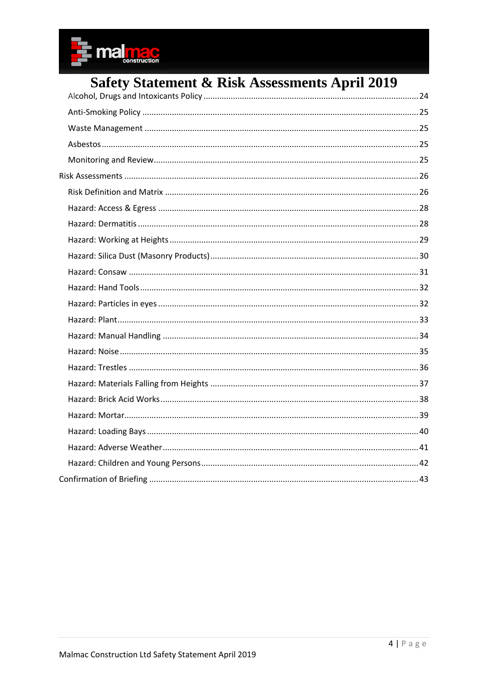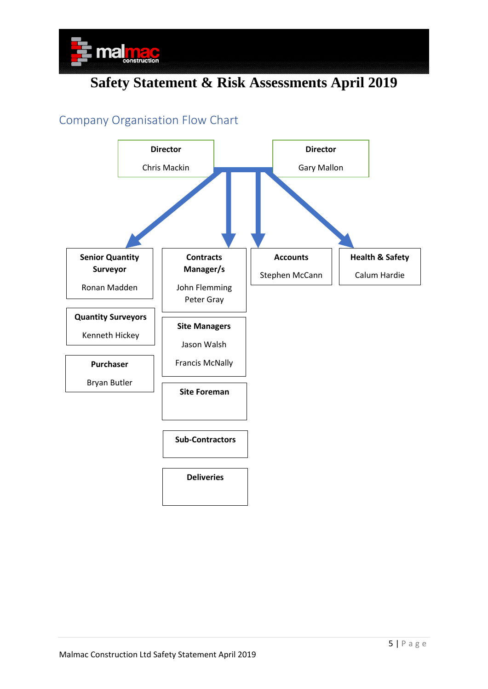

### <span id="page-4-0"></span>Company Organisation Flow Chart

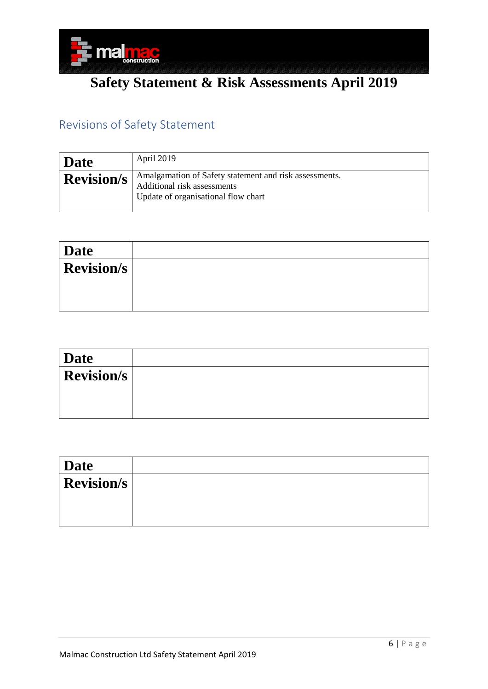

### <span id="page-5-0"></span>Revisions of Safety Statement

| Date              | April 2019                                                                                                                   |
|-------------------|------------------------------------------------------------------------------------------------------------------------------|
| <b>Revision/s</b> | Amalgamation of Safety statement and risk assessments.<br>Additional risk assessments<br>Update of organisational flow chart |

| Date              |  |
|-------------------|--|
| <b>Revision/s</b> |  |
|                   |  |
|                   |  |

| <b>Date</b>       |  |
|-------------------|--|
| <b>Revision/s</b> |  |
|                   |  |
|                   |  |

| 'Date             |  |
|-------------------|--|
| <b>Revision/s</b> |  |
|                   |  |
|                   |  |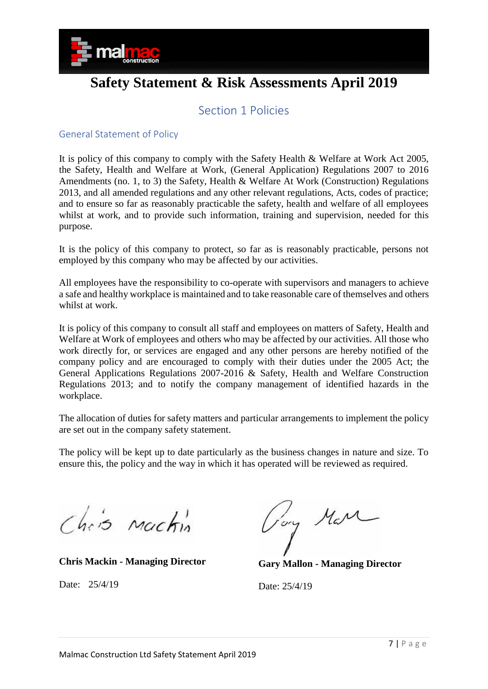

### Section 1 Policies

#### <span id="page-6-1"></span><span id="page-6-0"></span>General Statement of Policy

It is policy of this company to comply with the Safety Health & Welfare at Work Act 2005, the Safety, Health and Welfare at Work, (General Application) Regulations 2007 to 2016 Amendments (no. 1, to 3) the Safety, Health & Welfare At Work (Construction) Regulations 2013, and all amended regulations and any other relevant regulations, Acts, codes of practice; and to ensure so far as reasonably practicable the safety, health and welfare of all employees whilst at work, and to provide such information, training and supervision, needed for this purpose.

It is the policy of this company to protect, so far as is reasonably practicable, persons not employed by this company who may be affected by our activities.

All employees have the responsibility to co-operate with supervisors and managers to achieve a safe and healthy workplace is maintained and to take reasonable care of themselves and others whilst at work.

It is policy of this company to consult all staff and employees on matters of Safety, Health and Welfare at Work of employees and others who may be affected by our activities. All those who work directly for, or services are engaged and any other persons are hereby notified of the company policy and are encouraged to comply with their duties under the 2005 Act; the General Applications Regulations 2007-2016 & Safety, Health and Welfare Construction Regulations 2013; and to notify the company management of identified hazards in the workplace.

The allocation of duties for safety matters and particular arrangements to implement the policy are set out in the company safety statement.

The policy will be kept up to date particularly as the business changes in nature and size. To ensure this, the policy and the way in which it has operated will be reviewed as required.

Chris Machin

**Chris Mackin - Managing Director**

Date: 25/4/19

Pory Mar

**Gary Mallon - Managing Director**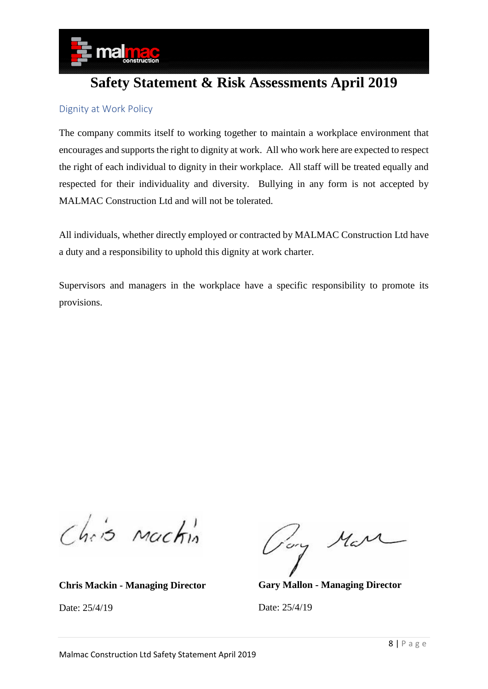

#### <span id="page-7-0"></span>Dignity at Work Policy

The company commits itself to working together to maintain a workplace environment that encourages and supports the right to dignity at work. All who work here are expected to respect the right of each individual to dignity in their workplace. All staff will be treated equally and respected for their individuality and diversity. Bullying in any form is not accepted by MALMAC Construction Ltd and will not be tolerated.

All individuals, whether directly employed or contracted by MALMAC Construction Ltd have a duty and a responsibility to uphold this dignity at work charter.

Supervisors and managers in the workplace have a specific responsibility to promote its provisions.

Chris Mackin

**Chris Mackin - Managing Director**

Date: 25/4/19

Tory Mar

**Gary Mallon - Managing Director**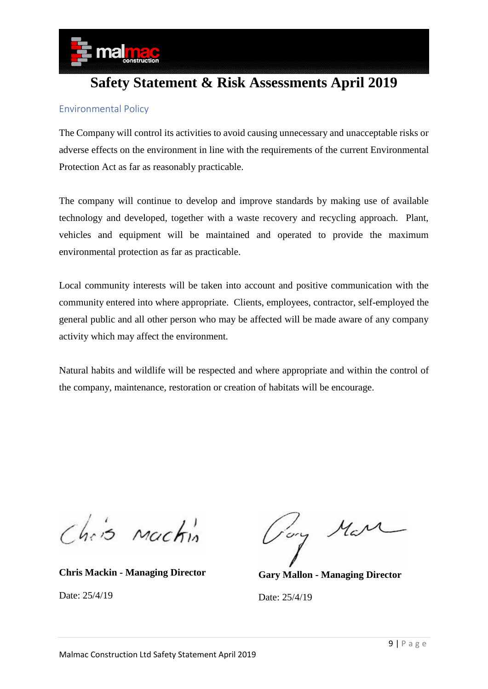

#### <span id="page-8-0"></span>Environmental Policy

The Company will control its activities to avoid causing unnecessary and unacceptable risks or adverse effects on the environment in line with the requirements of the current Environmental Protection Act as far as reasonably practicable.

The company will continue to develop and improve standards by making use of available technology and developed, together with a waste recovery and recycling approach. Plant, vehicles and equipment will be maintained and operated to provide the maximum environmental protection as far as practicable.

Local community interests will be taken into account and positive communication with the community entered into where appropriate. Clients, employees, contractor, self-employed the general public and all other person who may be affected will be made aware of any company activity which may affect the environment.

Natural habits and wildlife will be respected and where appropriate and within the control of the company, maintenance, restoration or creation of habitats will be encourage.

Chris Machin

**Chris Mackin - Managing Director**

Date: 25/4/19

Pory Mara

**Gary Mallon - Managing Director**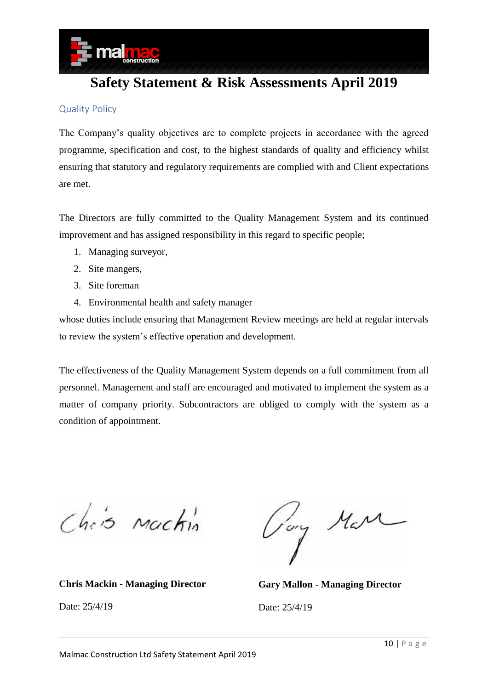

#### <span id="page-9-0"></span>Quality Policy

The Company's quality objectives are to complete projects in accordance with the agreed programme, specification and cost, to the highest standards of quality and efficiency whilst ensuring that statutory and regulatory requirements are complied with and Client expectations are met.

The Directors are fully committed to the Quality Management System and its continued improvement and has assigned responsibility in this regard to specific people;

- 1. Managing surveyor,
- 2. Site mangers,
- 3. Site foreman
- 4. Environmental health and safety manager

whose duties include ensuring that Management Review meetings are held at regular intervals to review the system's effective operation and development.

The effectiveness of the Quality Management System depends on a full commitment from all personnel. Management and staff are encouraged and motivated to implement the system as a matter of company priority. Subcontractors are obliged to comply with the system as a condition of appointment.

Chris Machin

**Chris Mackin - Managing Director**

Date: 25/4/19

Tory Mare

**Gary Mallon - Managing Director**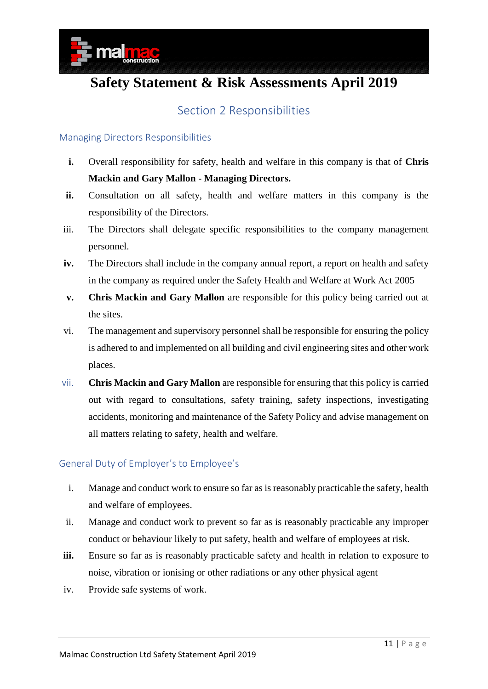

### Section 2 Responsibilities

#### <span id="page-10-1"></span><span id="page-10-0"></span>Managing Directors Responsibilities

- **i.** Overall responsibility for safety, health and welfare in this company is that of **Chris Mackin and Gary Mallon - Managing Directors.**
- **ii.** Consultation on all safety, health and welfare matters in this company is the responsibility of the Directors.
- iii. The Directors shall delegate specific responsibilities to the company management personnel.
- **iv.** The Directors shall include in the company annual report, a report on health and safety in the company as required under the Safety Health and Welfare at Work Act 2005
- **v. Chris Mackin and Gary Mallon** are responsible for this policy being carried out at the sites.
- vi. The management and supervisory personnel shall be responsible for ensuring the policy is adhered to and implemented on all building and civil engineering sites and other work places.
- <span id="page-10-2"></span>vii. **Chris Mackin and Gary Mallon** are responsible for ensuring that this policy is carried out with regard to consultations, safety training, safety inspections, investigating accidents, monitoring and maintenance of the Safety Policy and advise management on all matters relating to safety, health and welfare.

#### <span id="page-10-3"></span>General Duty of Employer's to Employee's

- i. Manage and conduct work to ensure so far as is reasonably practicable the safety, health and welfare of employees.
- ii. Manage and conduct work to prevent so far as is reasonably practicable any improper conduct or behaviour likely to put safety, health and welfare of employees at risk.
- **iii.** Ensure so far as is reasonably practicable safety and health in relation to exposure to noise, vibration or ionising or other radiations or any other physical agent
- iv. Provide safe systems of work.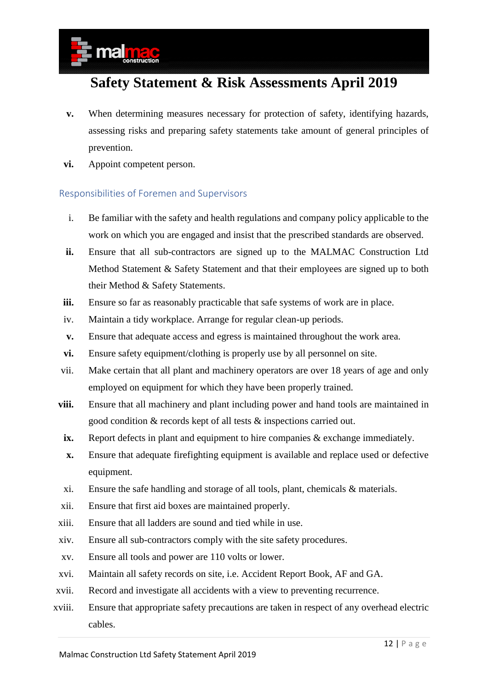- **v.** When determining measures necessary for protection of safety, identifying hazards, assessing risks and preparing safety statements take amount of general principles of prevention.
- **vi.** Appoint competent person.

#### <span id="page-11-0"></span>Responsibilities of Foremen and Supervisors

- i. Be familiar with the safety and health regulations and company policy applicable to the work on which you are engaged and insist that the prescribed standards are observed.
- **ii.** Ensure that all sub-contractors are signed up to the MALMAC Construction Ltd Method Statement & Safety Statement and that their employees are signed up to both their Method & Safety Statements.
- **iii.** Ensure so far as reasonably practicable that safe systems of work are in place.
- iv. Maintain a tidy workplace. Arrange for regular clean-up periods.
- **v.** Ensure that adequate access and egress is maintained throughout the work area.
- **vi.** Ensure safety equipment/clothing is properly use by all personnel on site.
- vii. Make certain that all plant and machinery operators are over 18 years of age and only employed on equipment for which they have been properly trained.
- **viii.** Ensure that all machinery and plant including power and hand tools are maintained in good condition & records kept of all tests & inspections carried out.
- **ix.** Report defects in plant and equipment to hire companies & exchange immediately.
- **x.** Ensure that adequate firefighting equipment is available and replace used or defective equipment.
- xi. Ensure the safe handling and storage of all tools, plant, chemicals & materials.
- xii. Ensure that first aid boxes are maintained properly.
- xiii. Ensure that all ladders are sound and tied while in use.
- xiv. Ensure all sub-contractors comply with the site safety procedures.
- xv. Ensure all tools and power are 110 volts or lower.
- xvi. Maintain all safety records on site, i.e. Accident Report Book, AF and GA.
- xvii. Record and investigate all accidents with a view to preventing recurrence.
- xviii. Ensure that appropriate safety precautions are taken in respect of any overhead electric cables.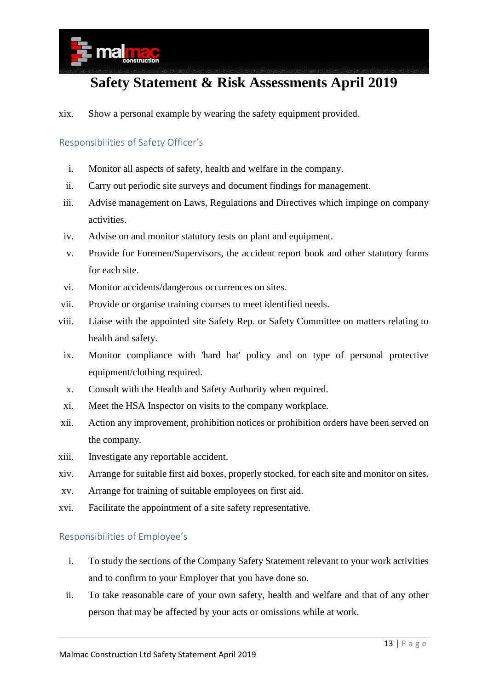

xix. Show a personal example by wearing the safety equipment provided.

#### <span id="page-12-0"></span>Responsibilities of Safety Officer's

- i. Monitor all aspects of safety, health and welfare in the company.
- ii. Carry out periodic site surveys and document findings for management.
- iii. Advise management on Laws, Regulations and Directives which impinge on company activities.
- iv. Advise on and monitor statutory tests on plant and equipment.
- v. Provide for Foremen/Supervisors, the accident report book and other statutory forms for each site.
- vi. Monitor accidents/dangerous occurrences on sites.
- vii. Provide or organise training courses to meet identified needs.
- viii. Liaise with the appointed site Safety Rep. or Safety Committee on matters relating to health and safety.
- ix. Monitor compliance with 'hard hat' policy and on type of personal protective equipment/clothing required.
- x. Consult with the Health and Safety Authority when required.
- xi. Meet the HSA Inspector on visits to the company workplace.
- xii. Action any improvement, prohibition notices or prohibition orders have been served on the company.
- xiii. Investigate any reportable accident.
- xiv. Arrange for suitable first aid boxes, properly stocked, for each site and monitor on sites.
- xv. Arrange for training of suitable employees on first aid.
- xvi. Facilitate the appointment of a site safety representative.

#### <span id="page-12-1"></span>Responsibilities of Employee's

- i. To study the sections of the Company Safety Statement relevant to your work activities and to confirm to your Employer that you have done so.
- ii. To take reasonable care of your own safety, health and welfare and that of any other person that may be affected by your acts or omissions while at work.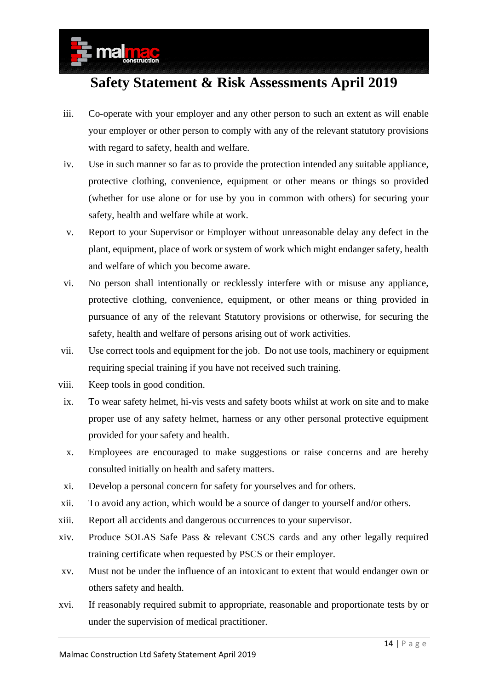- iii. Co-operate with your employer and any other person to such an extent as will enable your employer or other person to comply with any of the relevant statutory provisions with regard to safety, health and welfare.
- iv. Use in such manner so far as to provide the protection intended any suitable appliance, protective clothing, convenience, equipment or other means or things so provided (whether for use alone or for use by you in common with others) for securing your safety, health and welfare while at work.
- v. Report to your Supervisor or Employer without unreasonable delay any defect in the plant, equipment, place of work or system of work which might endanger safety, health and welfare of which you become aware.
- vi. No person shall intentionally or recklessly interfere with or misuse any appliance, protective clothing, convenience, equipment, or other means or thing provided in pursuance of any of the relevant Statutory provisions or otherwise, for securing the safety, health and welfare of persons arising out of work activities.
- vii. Use correct tools and equipment for the job. Do not use tools, machinery or equipment requiring special training if you have not received such training.
- viii. Keep tools in good condition.
- ix. To wear safety helmet, hi-vis vests and safety boots whilst at work on site and to make proper use of any safety helmet, harness or any other personal protective equipment provided for your safety and health.
- x. Employees are encouraged to make suggestions or raise concerns and are hereby consulted initially on health and safety matters.
- xi. Develop a personal concern for safety for yourselves and for others.
- xii. To avoid any action, which would be a source of danger to yourself and/or others.
- xiii. Report all accidents and dangerous occurrences to your supervisor.
- xiv. Produce SOLAS Safe Pass & relevant CSCS cards and any other legally required training certificate when requested by PSCS or their employer.
- xv. Must not be under the influence of an intoxicant to extent that would endanger own or others safety and health.
- xvi. If reasonably required submit to appropriate, reasonable and proportionate tests by or under the supervision of medical practitioner.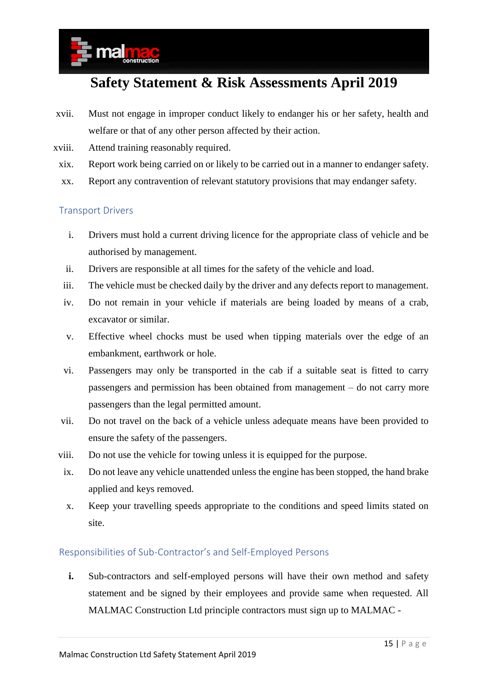- xvii. Must not engage in improper conduct likely to endanger his or her safety, health and welfare or that of any other person affected by their action.
- xviii. Attend training reasonably required.
- xix. Report work being carried on or likely to be carried out in a manner to endanger safety.
- xx. Report any contravention of relevant statutory provisions that may endanger safety.

#### <span id="page-14-0"></span>Transport Drivers

- i. Drivers must hold a current driving licence for the appropriate class of vehicle and be authorised by management.
- ii. Drivers are responsible at all times for the safety of the vehicle and load.
- iii. The vehicle must be checked daily by the driver and any defects report to management.
- iv. Do not remain in your vehicle if materials are being loaded by means of a crab, excavator or similar.
- v. Effective wheel chocks must be used when tipping materials over the edge of an embankment, earthwork or hole.
- vi. Passengers may only be transported in the cab if a suitable seat is fitted to carry passengers and permission has been obtained from management – do not carry more passengers than the legal permitted amount.
- vii. Do not travel on the back of a vehicle unless adequate means have been provided to ensure the safety of the passengers.
- viii. Do not use the vehicle for towing unless it is equipped for the purpose.
- ix. Do not leave any vehicle unattended unless the engine has been stopped, the hand brake applied and keys removed.
- x. Keep your travelling speeds appropriate to the conditions and speed limits stated on site.

#### <span id="page-14-1"></span>Responsibilities of Sub-Contractor's and Self-Employed Persons

**i.** Sub-contractors and self-employed persons will have their own method and safety statement and be signed by their employees and provide same when requested. All MALMAC Construction Ltd principle contractors must sign up to MALMAC -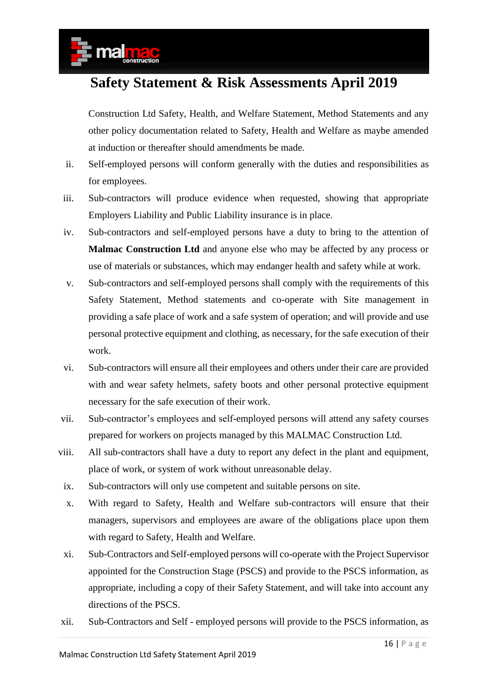Construction Ltd Safety, Health, and Welfare Statement, Method Statements and any other policy documentation related to Safety, Health and Welfare as maybe amended at induction or thereafter should amendments be made.

- ii. Self-employed persons will conform generally with the duties and responsibilities as for employees.
- iii. Sub-contractors will produce evidence when requested, showing that appropriate Employers Liability and Public Liability insurance is in place.
- iv. Sub-contractors and self-employed persons have a duty to bring to the attention of **Malmac Construction Ltd** and anyone else who may be affected by any process or use of materials or substances, which may endanger health and safety while at work.
- v. Sub-contractors and self-employed persons shall comply with the requirements of this Safety Statement, Method statements and co-operate with Site management in providing a safe place of work and a safe system of operation; and will provide and use personal protective equipment and clothing, as necessary, for the safe execution of their work.
- vi. Sub-contractors will ensure all their employees and others under their care are provided with and wear safety helmets, safety boots and other personal protective equipment necessary for the safe execution of their work.
- vii. Sub-contractor's employees and self-employed persons will attend any safety courses prepared for workers on projects managed by this MALMAC Construction Ltd.
- viii. All sub-contractors shall have a duty to report any defect in the plant and equipment, place of work, or system of work without unreasonable delay.
- ix. Sub-contractors will only use competent and suitable persons on site.
- x. With regard to Safety, Health and Welfare sub-contractors will ensure that their managers, supervisors and employees are aware of the obligations place upon them with regard to Safety, Health and Welfare.
- xi. Sub-Contractors and Self-employed persons will co-operate with the Project Supervisor appointed for the Construction Stage (PSCS) and provide to the PSCS information, as appropriate, including a copy of their Safety Statement, and will take into account any directions of the PSCS.
- xii. Sub-Contractors and Self employed persons will provide to the PSCS information, as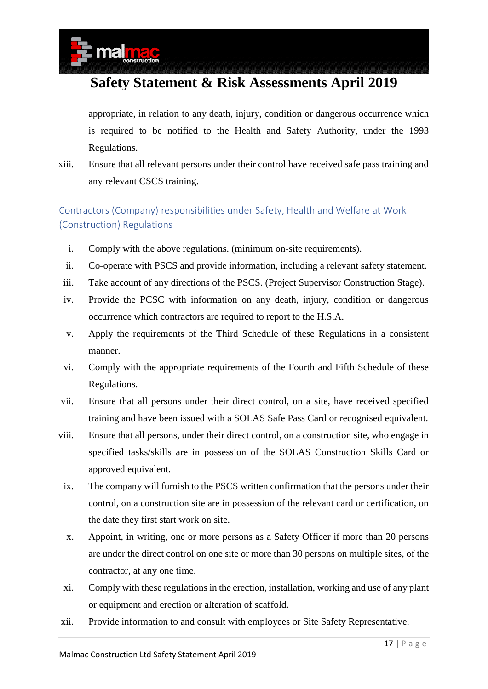appropriate, in relation to any death, injury, condition or dangerous occurrence which is required to be notified to the Health and Safety Authority, under the 1993 Regulations.

xiii. Ensure that all relevant persons under their control have received safe pass training and any relevant CSCS training.

### <span id="page-16-0"></span>Contractors (Company) responsibilities under Safety, Health and Welfare at Work (Construction) Regulations

- i. Comply with the above regulations. (minimum on-site requirements).
- ii. Co-operate with PSCS and provide information, including a relevant safety statement.
- iii. Take account of any directions of the PSCS. (Project Supervisor Construction Stage).
- iv. Provide the PCSC with information on any death, injury, condition or dangerous occurrence which contractors are required to report to the H.S.A.
- v. Apply the requirements of the Third Schedule of these Regulations in a consistent manner.
- vi. Comply with the appropriate requirements of the Fourth and Fifth Schedule of these Regulations.
- vii. Ensure that all persons under their direct control, on a site, have received specified training and have been issued with a SOLAS Safe Pass Card or recognised equivalent.
- viii. Ensure that all persons, under their direct control, on a construction site, who engage in specified tasks/skills are in possession of the SOLAS Construction Skills Card or approved equivalent.
- ix. The company will furnish to the PSCS written confirmation that the persons under their control, on a construction site are in possession of the relevant card or certification, on the date they first start work on site.
- x. Appoint, in writing, one or more persons as a Safety Officer if more than 20 persons are under the direct control on one site or more than 30 persons on multiple sites, of the contractor, at any one time.
- xi. Comply with these regulations in the erection, installation, working and use of any plant or equipment and erection or alteration of scaffold.
- xii. Provide information to and consult with employees or Site Safety Representative.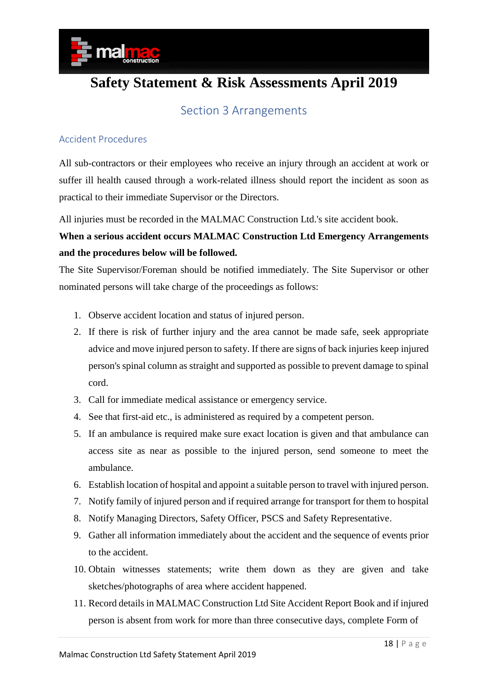

### Section 3 Arrangements

#### <span id="page-17-1"></span><span id="page-17-0"></span>Accident Procedures

All sub-contractors or their employees who receive an injury through an accident at work or suffer ill health caused through a work-related illness should report the incident as soon as practical to their immediate Supervisor or the Directors.

All injuries must be recorded in the MALMAC Construction Ltd.'s site accident book.

### **When a serious accident occurs MALMAC Construction Ltd Emergency Arrangements and the procedures below will be followed.**

The Site Supervisor/Foreman should be notified immediately. The Site Supervisor or other nominated persons will take charge of the proceedings as follows:

- 1. Observe accident location and status of injured person.
- 2. If there is risk of further injury and the area cannot be made safe, seek appropriate advice and move injured person to safety. If there are signs of back injuries keep injured person's spinal column as straight and supported as possible to prevent damage to spinal cord.
- 3. Call for immediate medical assistance or emergency service.
- 4. See that first-aid etc., is administered as required by a competent person.
- 5. If an ambulance is required make sure exact location is given and that ambulance can access site as near as possible to the injured person, send someone to meet the ambulance.
- 6. Establish location of hospital and appoint a suitable person to travel with injured person.
- 7. Notify family of injured person and if required arrange for transport for them to hospital
- 8. Notify Managing Directors, Safety Officer, PSCS and Safety Representative.
- 9. Gather all information immediately about the accident and the sequence of events prior to the accident.
- 10. Obtain witnesses statements; write them down as they are given and take sketches/photographs of area where accident happened.
- 11. Record details in MALMAC Construction Ltd Site Accident Report Book and if injured person is absent from work for more than three consecutive days, complete Form of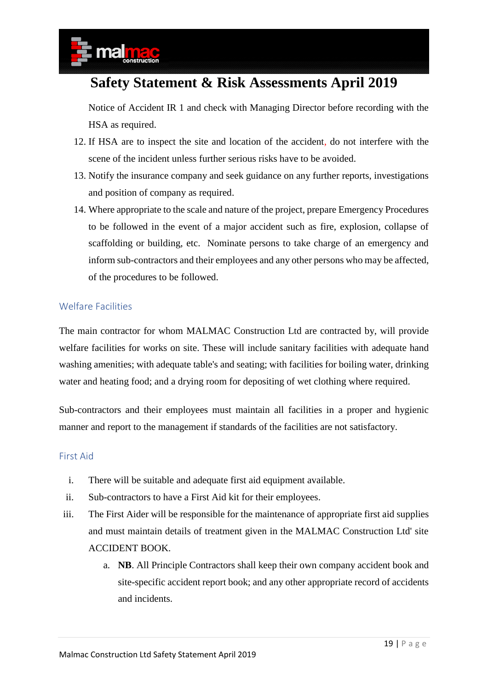Notice of Accident IR 1 and check with Managing Director before recording with the HSA as required.

- 12. If HSA are to inspect the site and location of the accident, do not interfere with the scene of the incident unless further serious risks have to be avoided.
- 13. Notify the insurance company and seek guidance on any further reports, investigations and position of company as required.
- 14. Where appropriate to the scale and nature of the project, prepare Emergency Procedures to be followed in the event of a major accident such as fire, explosion, collapse of scaffolding or building, etc. Nominate persons to take charge of an emergency and inform sub-contractors and their employees and any other persons who may be affected, of the procedures to be followed.

#### <span id="page-18-0"></span>Welfare Facilities

The main contractor for whom MALMAC Construction Ltd are contracted by, will provide welfare facilities for works on site. These will include sanitary facilities with adequate hand washing amenities; with adequate table's and seating; with facilities for boiling water, drinking water and heating food; and a drying room for depositing of wet clothing where required.

Sub-contractors and their employees must maintain all facilities in a proper and hygienic manner and report to the management if standards of the facilities are not satisfactory.

#### <span id="page-18-1"></span>First Aid

- i. There will be suitable and adequate first aid equipment available.
- ii. Sub-contractors to have a First Aid kit for their employees.
- iii. The First Aider will be responsible for the maintenance of appropriate first aid supplies and must maintain details of treatment given in the MALMAC Construction Ltd' site ACCIDENT BOOK.
	- a. **NB**. All Principle Contractors shall keep their own company accident book and site-specific accident report book; and any other appropriate record of accidents and incidents.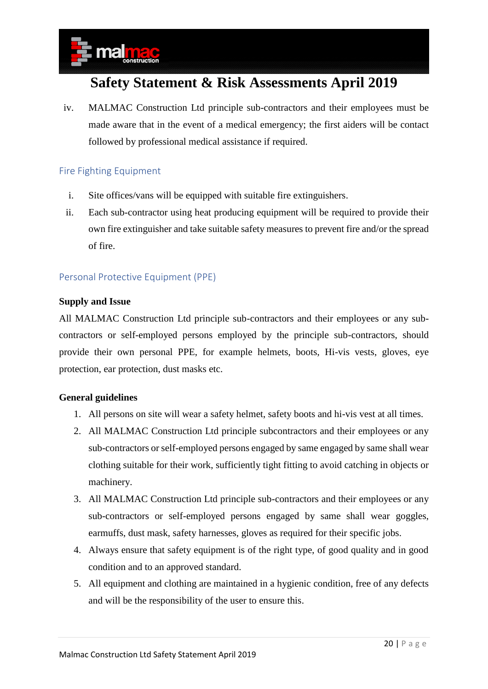iv. MALMAC Construction Ltd principle sub-contractors and their employees must be made aware that in the event of a medical emergency; the first aiders will be contact followed by professional medical assistance if required.

#### <span id="page-19-0"></span>Fire Fighting Equipment

- i. Site offices/vans will be equipped with suitable fire extinguishers.
- ii. Each sub-contractor using heat producing equipment will be required to provide their own fire extinguisher and take suitable safety measures to prevent fire and/or the spread of fire.

#### <span id="page-19-1"></span>Personal Protective Equipment (PPE)

#### **Supply and Issue**

All MALMAC Construction Ltd principle sub-contractors and their employees or any subcontractors or self-employed persons employed by the principle sub-contractors, should provide their own personal PPE, for example helmets, boots, Hi-vis vests, gloves, eye protection, ear protection, dust masks etc.

#### **General guidelines**

- 1. All persons on site will wear a safety helmet, safety boots and hi-vis vest at all times.
- 2. All MALMAC Construction Ltd principle subcontractors and their employees or any sub-contractors or self-employed persons engaged by same engaged by same shall wear clothing suitable for their work, sufficiently tight fitting to avoid catching in objects or machinery.
- 3. All MALMAC Construction Ltd principle sub-contractors and their employees or any sub-contractors or self-employed persons engaged by same shall wear goggles, earmuffs, dust mask, safety harnesses, gloves as required for their specific jobs.
- 4. Always ensure that safety equipment is of the right type, of good quality and in good condition and to an approved standard.
- 5. All equipment and clothing are maintained in a hygienic condition, free of any defects and will be the responsibility of the user to ensure this.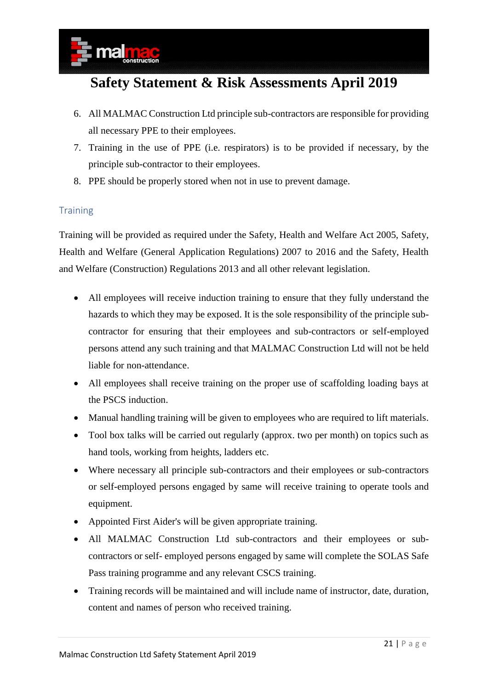- 6. All MALMAC Construction Ltd principle sub-contractors are responsible for providing all necessary PPE to their employees.
- 7. Training in the use of PPE (i.e. respirators) is to be provided if necessary, by the principle sub-contractor to their employees.
- 8. PPE should be properly stored when not in use to prevent damage.

#### <span id="page-20-0"></span>**Training**

Training will be provided as required under the Safety, Health and Welfare Act 2005, Safety, Health and Welfare (General Application Regulations) 2007 to 2016 and the Safety, Health and Welfare (Construction) Regulations 2013 and all other relevant legislation.

- All employees will receive induction training to ensure that they fully understand the hazards to which they may be exposed. It is the sole responsibility of the principle subcontractor for ensuring that their employees and sub-contractors or self-employed persons attend any such training and that MALMAC Construction Ltd will not be held liable for non-attendance.
- All employees shall receive training on the proper use of scaffolding loading bays at the PSCS induction.
- Manual handling training will be given to employees who are required to lift materials.
- Tool box talks will be carried out regularly (approx. two per month) on topics such as hand tools, working from heights, ladders etc.
- Where necessary all principle sub-contractors and their employees or sub-contractors or self-employed persons engaged by same will receive training to operate tools and equipment.
- Appointed First Aider's will be given appropriate training.
- All MALMAC Construction Ltd sub-contractors and their employees or subcontractors or self- employed persons engaged by same will complete the SOLAS Safe Pass training programme and any relevant CSCS training.
- Training records will be maintained and will include name of instructor, date, duration, content and names of person who received training.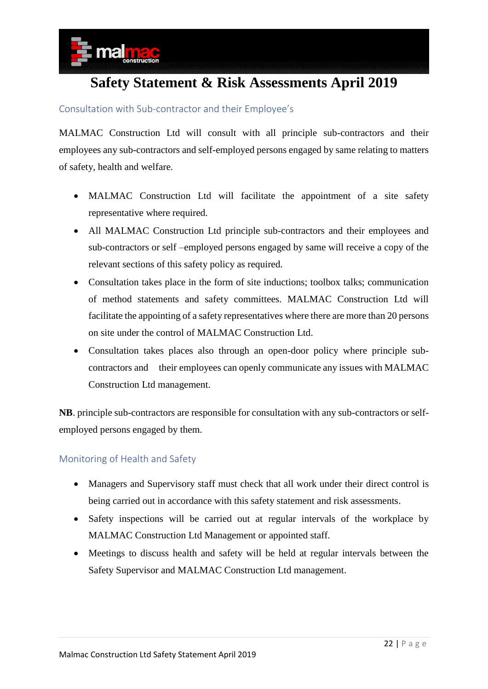

#### <span id="page-21-0"></span>Consultation with Sub-contractor and their Employee's

MALMAC Construction Ltd will consult with all principle sub-contractors and their employees any sub-contractors and self-employed persons engaged by same relating to matters of safety, health and welfare.

- MALMAC Construction Ltd will facilitate the appointment of a site safety representative where required.
- All MALMAC Construction Ltd principle sub-contractors and their employees and sub-contractors or self –employed persons engaged by same will receive a copy of the relevant sections of this safety policy as required.
- Consultation takes place in the form of site inductions; toolbox talks; communication of method statements and safety committees. MALMAC Construction Ltd will facilitate the appointing of a safety representatives where there are more than 20 persons on site under the control of MALMAC Construction Ltd.
- Consultation takes places also through an open-door policy where principle subcontractors and their employees can openly communicate any issues with MALMAC Construction Ltd management.

**NB**. principle sub-contractors are responsible for consultation with any sub-contractors or selfemployed persons engaged by them.

#### <span id="page-21-1"></span>Monitoring of Health and Safety

- Managers and Supervisory staff must check that all work under their direct control is being carried out in accordance with this safety statement and risk assessments.
- Safety inspections will be carried out at regular intervals of the workplace by MALMAC Construction Ltd Management or appointed staff.
- Meetings to discuss health and safety will be held at regular intervals between the Safety Supervisor and MALMAC Construction Ltd management.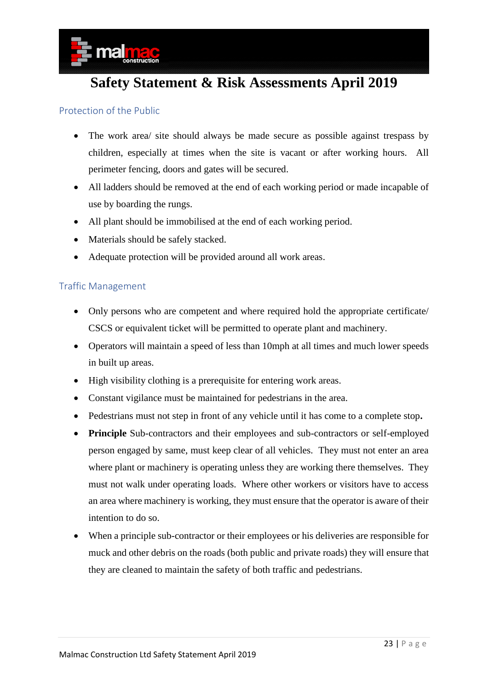

#### <span id="page-22-0"></span>Protection of the Public

- The work area/ site should always be made secure as possible against trespass by children, especially at times when the site is vacant or after working hours. All perimeter fencing, doors and gates will be secured.
- All ladders should be removed at the end of each working period or made incapable of use by boarding the rungs.
- All plant should be immobilised at the end of each working period.
- Materials should be safely stacked.
- Adequate protection will be provided around all work areas.

#### <span id="page-22-1"></span>Traffic Management

- Only persons who are competent and where required hold the appropriate certificate/ CSCS or equivalent ticket will be permitted to operate plant and machinery.
- Operators will maintain a speed of less than 10mph at all times and much lower speeds in built up areas.
- High visibility clothing is a prerequisite for entering work areas.
- Constant vigilance must be maintained for pedestrians in the area.
- Pedestrians must not step in front of any vehicle until it has come to a complete stop**.**
- **Principle** Sub-contractors and their employees and sub-contractors or self-employed person engaged by same, must keep clear of all vehicles. They must not enter an area where plant or machinery is operating unless they are working there themselves. They must not walk under operating loads. Where other workers or visitors have to access an area where machinery is working, they must ensure that the operator is aware of their intention to do so.
- When a principle sub-contractor or their employees or his deliveries are responsible for muck and other debris on the roads (both public and private roads) they will ensure that they are cleaned to maintain the safety of both traffic and pedestrians.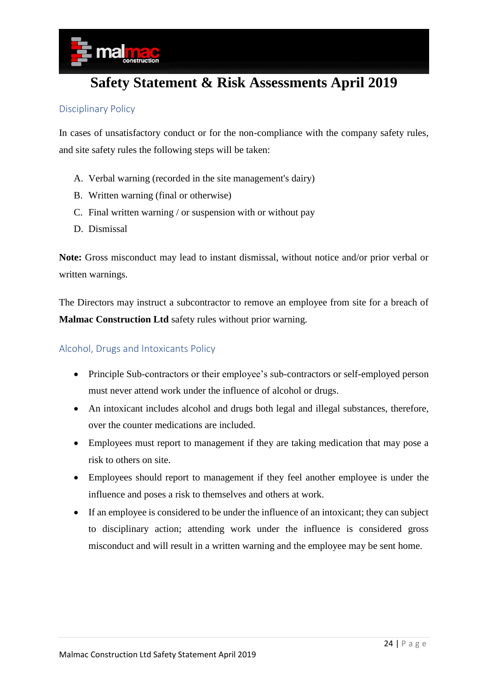

#### <span id="page-23-0"></span>Disciplinary Policy

In cases of unsatisfactory conduct or for the non-compliance with the company safety rules, and site safety rules the following steps will be taken:

- A. Verbal warning (recorded in the site management's dairy)
- B. Written warning (final or otherwise)
- C. Final written warning / or suspension with or without pay
- D. Dismissal

**Note:** Gross misconduct may lead to instant dismissal, without notice and/or prior verbal or written warnings.

The Directors may instruct a subcontractor to remove an employee from site for a breach of **Malmac Construction Ltd** safety rules without prior warning.

#### <span id="page-23-1"></span>Alcohol, Drugs and Intoxicants Policy

- Principle Sub-contractors or their employee's sub-contractors or self-employed person must never attend work under the influence of alcohol or drugs.
- An intoxicant includes alcohol and drugs both legal and illegal substances, therefore, over the counter medications are included.
- Employees must report to management if they are taking medication that may pose a risk to others on site.
- Employees should report to management if they feel another employee is under the influence and poses a risk to themselves and others at work.
- If an employee is considered to be under the influence of an intoxicant; they can subject to disciplinary action; attending work under the influence is considered gross misconduct and will result in a written warning and the employee may be sent home.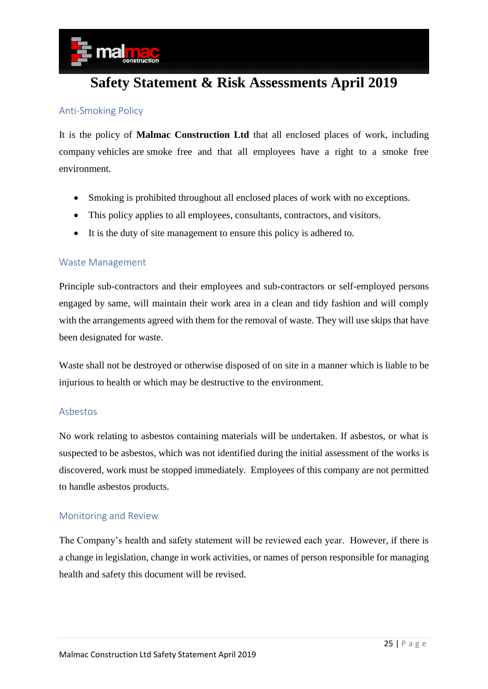

#### <span id="page-24-0"></span>Anti-Smoking Policy

It is the policy of **Malmac Construction Ltd** that all enclosed places of work, including company vehicles are smoke free and that all employees have a right to a smoke free environment.

- Smoking is prohibited throughout all enclosed places of work with no exceptions.
- This policy applies to all employees, consultants, contractors, and visitors.
- It is the duty of site management to ensure this policy is adhered to.

#### <span id="page-24-1"></span>Waste Management

Principle sub-contractors and their employees and sub-contractors or self-employed persons engaged by same, will maintain their work area in a clean and tidy fashion and will comply with the arrangements agreed with them for the removal of waste. They will use skips that have been designated for waste.

Waste shall not be destroyed or otherwise disposed of on site in a manner which is liable to be injurious to health or which may be destructive to the environment.

#### <span id="page-24-2"></span>Asbestos

No work relating to asbestos containing materials will be undertaken. If asbestos, or what is suspected to be asbestos, which was not identified during the initial assessment of the works is discovered, work must be stopped immediately. Employees of this company are not permitted to handle asbestos products.

#### <span id="page-24-3"></span>Monitoring and Review

The Company's health and safety statement will be reviewed each year. However, if there is a change in legislation, change in work activities, or names of person responsible for managing health and safety this document will be revised.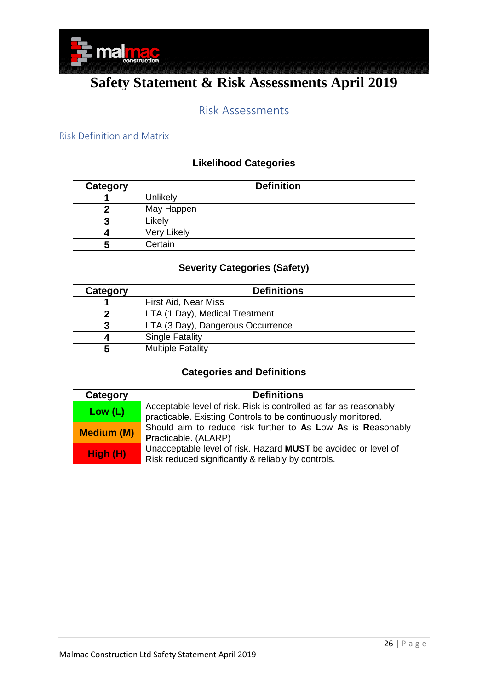

### Risk Assessments

#### <span id="page-25-1"></span><span id="page-25-0"></span>Risk Definition and Matrix

### **Likelihood Categories**

| Category | <b>Definition</b> |  |  |  |
|----------|-------------------|--|--|--|
|          | Unlikely          |  |  |  |
|          | May Happen        |  |  |  |
|          | Likely            |  |  |  |
|          | Very Likely       |  |  |  |
| 5        | Certain           |  |  |  |

### **Severity Categories (Safety)**

| Category | <b>Definitions</b>                |  |  |
|----------|-----------------------------------|--|--|
|          | First Aid, Near Miss              |  |  |
|          | LTA (1 Day), Medical Treatment    |  |  |
|          | LTA (3 Day), Dangerous Occurrence |  |  |
|          | <b>Single Fatality</b>            |  |  |
|          | <b>Multiple Fatality</b>          |  |  |

#### **Categories and Definitions**

| Category          | <b>Definitions</b>                                                |
|-------------------|-------------------------------------------------------------------|
| Low (L)           | Acceptable level of risk. Risk is controlled as far as reasonably |
|                   | practicable. Existing Controls to be continuously monitored.      |
| <b>Medium (M)</b> | Should aim to reduce risk further to As Low As is Reasonably      |
|                   | Practicable. (ALARP)                                              |
| High (H)          | Unacceptable level of risk. Hazard MUST be avoided or level of    |
|                   | Risk reduced significantly & reliably by controls.                |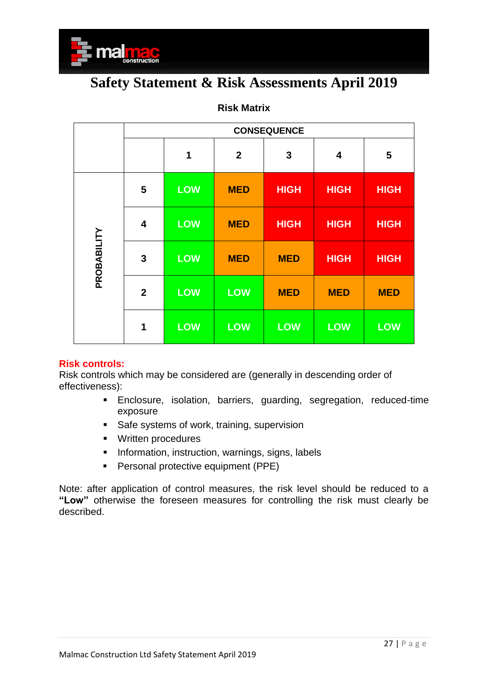

|             | <b>CONSEQUENCE</b>      |            |                  |              |             |             |  |
|-------------|-------------------------|------------|------------------|--------------|-------------|-------------|--|
|             |                         | 1          | $\boldsymbol{2}$ | $\mathbf{3}$ | 4           | 5           |  |
|             | 5                       | <b>LOW</b> | <b>MED</b>       | <b>HIGH</b>  | <b>HIGH</b> | <b>HIGH</b> |  |
| PROBABILITY | $\overline{\mathbf{4}}$ | <b>LOW</b> | <b>MED</b>       | <b>HIGH</b>  | <b>HIGH</b> | <b>HIGH</b> |  |
|             | $\mathbf{3}$            | <b>LOW</b> | <b>MED</b>       | <b>MED</b>   | <b>HIGH</b> | <b>HIGH</b> |  |
|             | $\overline{2}$          | <b>LOW</b> | <b>LOW</b>       | <b>MED</b>   | <b>MED</b>  | <b>MED</b>  |  |
|             | 1                       | <b>LOW</b> | <b>LOW</b>       | <b>LOW</b>   | <b>LOW</b>  | <b>LOW</b>  |  |

#### **Risk Matrix**

#### **Risk controls:**

Risk controls which may be considered are (generally in descending order of effectiveness):

- Enclosure, isolation, barriers, guarding, segregation, reduced-time exposure
- Safe systems of work, training, supervision
- Written procedures
- **·** Information, instruction, warnings, signs, labels
- Personal protective equipment (PPE)

Note: after application of control measures, the risk level should be reduced to a **"Low"** otherwise the foreseen measures for controlling the risk must clearly be described.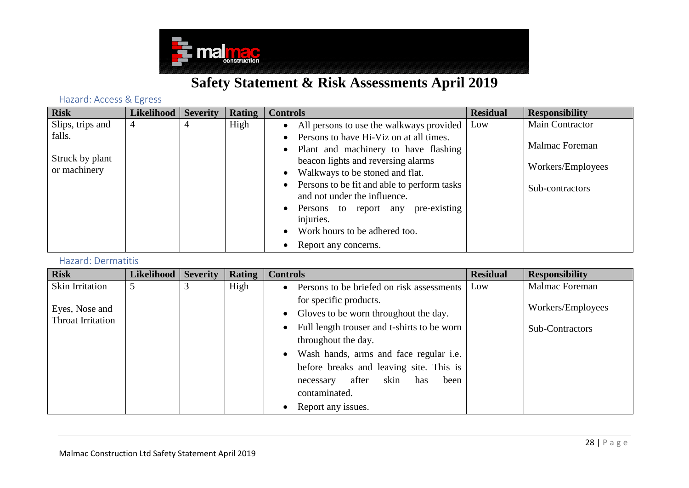

### Hazard: Access & Egress

| <b>Risk</b>      | <b>Likelihood</b> | <b>Severity</b> | Rating | <b>Controls</b>                                                             | <b>Residual</b> | <b>Responsibility</b> |
|------------------|-------------------|-----------------|--------|-----------------------------------------------------------------------------|-----------------|-----------------------|
| Slips, trips and | $\overline{4}$    |                 | High   | • All persons to use the walkways provided                                  | Low             | Main Contractor       |
| falls.           |                   |                 |        | Persons to have Hi-Viz on at all times.                                     |                 |                       |
|                  |                   |                 |        | Plant and machinery to have flashing<br>$\bullet$                           |                 | Malmac Foreman        |
| Struck by plant  |                   |                 |        | beacon lights and reversing alarms                                          |                 |                       |
| or machinery     |                   |                 |        | Walkways to be stoned and flat.<br>$\bullet$                                |                 | Workers/Employees     |
|                  |                   |                 |        | Persons to be fit and able to perform tasks<br>and not under the influence. |                 | Sub-contractors       |
|                  |                   |                 |        | pre-existing<br>Persons to report any<br>injuries.                          |                 |                       |
|                  |                   |                 |        | Work hours to be adhered too.                                               |                 |                       |
|                  |                   |                 |        | Report any concerns.                                                        |                 |                       |

#### Hazard: Dermatitis

<span id="page-27-1"></span><span id="page-27-0"></span>

| <b>Risk</b>            | Likelihood | <b>Severity</b> | Rating | <b>Controls</b>                                          | <b>Residual</b> | <b>Responsibility</b> |
|------------------------|------------|-----------------|--------|----------------------------------------------------------|-----------------|-----------------------|
| <b>Skin Irritation</b> | 5          |                 | High   | Persons to be briefed on risk assessments                | Low             | Malmac Foreman        |
|                        |            |                 |        | for specific products.                                   |                 |                       |
| Eyes, Nose and         |            |                 |        | Gloves to be worn throughout the day.<br>$\bullet$       |                 | Workers/Employees     |
| Throat Irritation      |            |                 |        | Full length trouser and t-shirts to be worn<br>$\bullet$ |                 | Sub-Contractors       |
|                        |            |                 |        | throughout the day.                                      |                 |                       |
|                        |            |                 |        | • Wash hands, arms and face regular i.e.                 |                 |                       |
|                        |            |                 |        | before breaks and leaving site. This is                  |                 |                       |
|                        |            |                 |        | skin<br>after<br>been<br>has<br>necessary                |                 |                       |
|                        |            |                 |        | contaminated.                                            |                 |                       |
|                        |            |                 |        | Report any issues.                                       |                 |                       |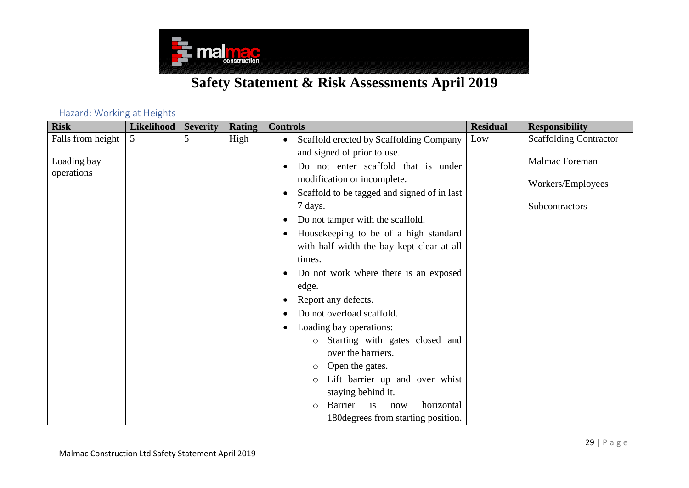

#### Hazard: Working at Heights

<span id="page-28-0"></span>

| <b>Risk</b>       | Likelihood | <b>Severity</b> | <b>Rating</b> | <b>Controls</b>                                      | <b>Residual</b> | <b>Responsibility</b>         |
|-------------------|------------|-----------------|---------------|------------------------------------------------------|-----------------|-------------------------------|
| Falls from height | 5          | 5               | High          | Scaffold erected by Scaffolding Company<br>$\bullet$ | Low             | <b>Scaffolding Contractor</b> |
|                   |            |                 |               | and signed of prior to use.                          |                 |                               |
| Loading bay       |            |                 |               | Do not enter scaffold that is under                  |                 | <b>Malmac Foreman</b>         |
| operations        |            |                 |               | modification or incomplete.                          |                 | Workers/Employees             |
|                   |            |                 |               | Scaffold to be tagged and signed of in last          |                 |                               |
|                   |            |                 |               | 7 days.                                              |                 | Subcontractors                |
|                   |            |                 |               | Do not tamper with the scaffold.                     |                 |                               |
|                   |            |                 |               | Housekeeping to be of a high standard                |                 |                               |
|                   |            |                 |               | with half width the bay kept clear at all            |                 |                               |
|                   |            |                 |               | times.                                               |                 |                               |
|                   |            |                 |               | Do not work where there is an exposed                |                 |                               |
|                   |            |                 |               | edge.                                                |                 |                               |
|                   |            |                 |               | Report any defects.                                  |                 |                               |
|                   |            |                 |               | Do not overload scaffold.                            |                 |                               |
|                   |            |                 |               | Loading bay operations:                              |                 |                               |
|                   |            |                 |               | Starting with gates closed and<br>$\circ$            |                 |                               |
|                   |            |                 |               | over the barriers.                                   |                 |                               |
|                   |            |                 |               | Open the gates.<br>$\circ$                           |                 |                               |
|                   |            |                 |               | Lift barrier up and over whist                       |                 |                               |
|                   |            |                 |               | staying behind it.                                   |                 |                               |
|                   |            |                 |               | horizontal<br>Barrier<br>is<br>now<br>$\circ$        |                 |                               |
|                   |            |                 |               | 180 degrees from starting position.                  |                 |                               |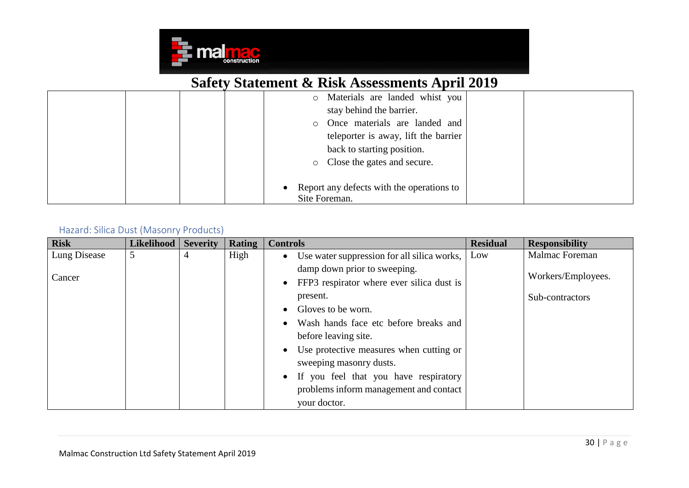

|  | Materials are landed whist you<br>$\circ$   |  |
|--|---------------------------------------------|--|
|  | stay behind the barrier.                    |  |
|  | o Once materials are landed and             |  |
|  | teleporter is away, lift the barrier        |  |
|  | back to starting position.                  |  |
|  | • Close the gates and secure.               |  |
|  |                                             |  |
|  | • Report any defects with the operations to |  |
|  | Site Foreman.                               |  |

### Hazard: Silica Dust (Masonry Products)

<span id="page-29-0"></span>

| <b>Risk</b>  | <b>Likelihood</b> | <b>Severity</b> | <b>Rating</b> | <b>Controls</b>                                        | <b>Residual</b> | <b>Responsibility</b> |
|--------------|-------------------|-----------------|---------------|--------------------------------------------------------|-----------------|-----------------------|
| Lung Disease | 5                 | 4               | High          | • Use water suppression for all silica works,          | Low             | Malmac Foreman        |
|              |                   |                 |               | damp down prior to sweeping.                           |                 |                       |
| Cancer       |                   |                 |               | FFP3 respirator where ever silica dust is<br>$\bullet$ |                 | Workers/Employees.    |
|              |                   |                 |               | present.                                               |                 | Sub-contractors       |
|              |                   |                 |               | Gloves to be worn.                                     |                 |                       |
|              |                   |                 |               | Wash hands face etc before breaks and                  |                 |                       |
|              |                   |                 |               | before leaving site.                                   |                 |                       |
|              |                   |                 |               | Use protective measures when cutting or                |                 |                       |
|              |                   |                 |               | sweeping masonry dusts.                                |                 |                       |
|              |                   |                 |               | • If you feel that you have respiratory                |                 |                       |
|              |                   |                 |               | problems inform management and contact                 |                 |                       |
|              |                   |                 |               | your doctor.                                           |                 |                       |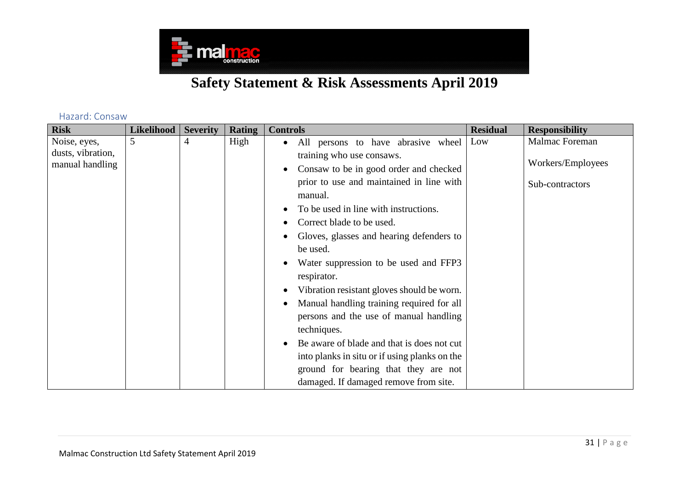

#### Hazard: Consaw

<span id="page-30-0"></span>

| <b>Risk</b>       | <b>Likelihood</b> | <b>Severity</b> | <b>Rating</b> | <b>Controls</b>                                 | <b>Residual</b> | <b>Responsibility</b> |
|-------------------|-------------------|-----------------|---------------|-------------------------------------------------|-----------------|-----------------------|
| Noise, eyes,      | $\mathfrak{S}$    | 4               | High          | All persons to have abrasive wheel<br>$\bullet$ | Low             | Malmac Foreman        |
| dusts, vibration, |                   |                 |               | training who use consaws.                       |                 |                       |
| manual handling   |                   |                 |               | Consaw to be in good order and checked          |                 | Workers/Employees     |
|                   |                   |                 |               | prior to use and maintained in line with        |                 | Sub-contractors       |
|                   |                   |                 |               | manual.                                         |                 |                       |
|                   |                   |                 |               | To be used in line with instructions.           |                 |                       |
|                   |                   |                 |               | Correct blade to be used.                       |                 |                       |
|                   |                   |                 |               | Gloves, glasses and hearing defenders to        |                 |                       |
|                   |                   |                 |               | be used.                                        |                 |                       |
|                   |                   |                 |               | Water suppression to be used and FFP3           |                 |                       |
|                   |                   |                 |               | respirator.                                     |                 |                       |
|                   |                   |                 |               | Vibration resistant gloves should be worn.      |                 |                       |
|                   |                   |                 |               | Manual handling training required for all       |                 |                       |
|                   |                   |                 |               | persons and the use of manual handling          |                 |                       |
|                   |                   |                 |               | techniques.                                     |                 |                       |
|                   |                   |                 |               | Be aware of blade and that is does not cut      |                 |                       |
|                   |                   |                 |               | into planks in situ or if using planks on the   |                 |                       |
|                   |                   |                 |               | ground for bearing that they are not            |                 |                       |
|                   |                   |                 |               | damaged. If damaged remove from site.           |                 |                       |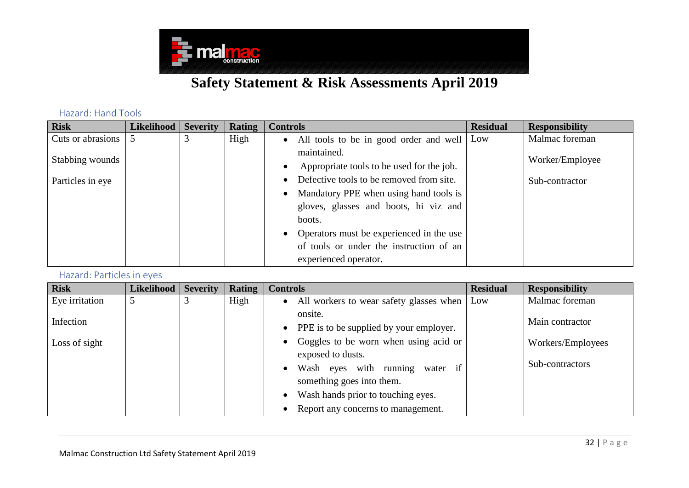

Hazard: Hand Tools

| <b>Risk</b>                       | <b>Likelihood</b> | <b>Severity</b> | Rating | <b>Controls</b>                            | <b>Residual</b> | <b>Responsibility</b> |
|-----------------------------------|-------------------|-----------------|--------|--------------------------------------------|-----------------|-----------------------|
| Cuts or abrasions $\vert 5 \vert$ |                   |                 | High   | • All tools to be in good order and well   | Low             | Malmac foreman        |
|                                   |                   |                 |        | maintained.                                |                 |                       |
| Stabbing wounds                   |                   |                 |        | Appropriate tools to be used for the job.  |                 | Worker/Employee       |
| Particles in eye                  |                   |                 |        | Defective tools to be removed from site.   |                 | Sub-contractor        |
|                                   |                   |                 |        | Mandatory PPE when using hand tools is     |                 |                       |
|                                   |                   |                 |        | gloves, glasses and boots, hi viz and      |                 |                       |
|                                   |                   |                 |        | boots.                                     |                 |                       |
|                                   |                   |                 |        | • Operators must be experienced in the use |                 |                       |
|                                   |                   |                 |        | of tools or under the instruction of an    |                 |                       |
|                                   |                   |                 |        | experienced operator.                      |                 |                       |

#### Hazard: Particles in eyes

<span id="page-31-1"></span><span id="page-31-0"></span>

| <b>Risk</b>    | Likelihood | <b>Severity</b> | Rating | <b>Controls</b>                           | <b>Residual</b> | <b>Responsibility</b> |
|----------------|------------|-----------------|--------|-------------------------------------------|-----------------|-----------------------|
| Eye irritation |            | 3               | High   | • All workers to wear safety glasses when | Low             | Malmac foreman        |
|                |            |                 |        | onsite.                                   |                 | Main contractor       |
| Infection      |            |                 |        | • PPE is to be supplied by your employer. |                 |                       |
| Loss of sight  |            |                 |        | • Goggles to be worn when using acid or   |                 | Workers/Employees     |
|                |            |                 |        | exposed to dusts.                         |                 |                       |
|                |            |                 |        | Wash eyes with running<br>water if        |                 | Sub-contractors       |
|                |            |                 |        | something goes into them.                 |                 |                       |
|                |            |                 |        | • Wash hands prior to touching eyes.      |                 |                       |
|                |            |                 |        | Report any concerns to management.        |                 |                       |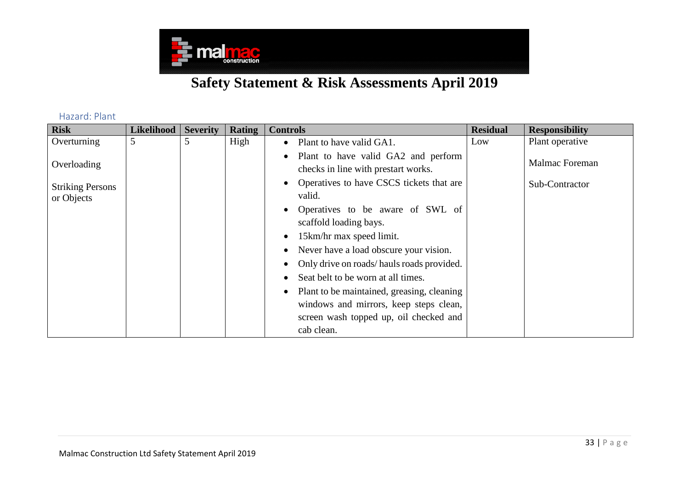

Hazard: Plant

<span id="page-32-0"></span>

| <b>Risk</b>             | Likelihood | <b>Severity</b> | Rating | <b>Controls</b>                                                                         | <b>Residual</b> | <b>Responsibility</b> |
|-------------------------|------------|-----------------|--------|-----------------------------------------------------------------------------------------|-----------------|-----------------------|
| Overturning             | 5          | 5               | High   | Plant to have valid GA1.<br>$\bullet$                                                   | Low             | Plant operative       |
| Overloading             |            |                 |        | Plant to have valid GA2 and perform<br>$\bullet$<br>checks in line with prestart works. |                 | Malmac Foreman        |
| <b>Striking Persons</b> |            |                 |        | Operatives to have CSCS tickets that are                                                |                 | Sub-Contractor        |
| or Objects              |            |                 |        | valid.                                                                                  |                 |                       |
|                         |            |                 |        | Operatives to be aware of SWL of<br>scaffold loading bays.                              |                 |                       |
|                         |            |                 |        | 15km/hr max speed limit.                                                                |                 |                       |
|                         |            |                 |        | Never have a load obscure your vision.                                                  |                 |                       |
|                         |            |                 |        | Only drive on roads/hauls roads provided.                                               |                 |                       |
|                         |            |                 |        | Seat belt to be worn at all times.                                                      |                 |                       |
|                         |            |                 |        | Plant to be maintained, greasing, cleaning                                              |                 |                       |
|                         |            |                 |        | windows and mirrors, keep steps clean,                                                  |                 |                       |
|                         |            |                 |        | screen wash topped up, oil checked and                                                  |                 |                       |
|                         |            |                 |        | cab clean.                                                                              |                 |                       |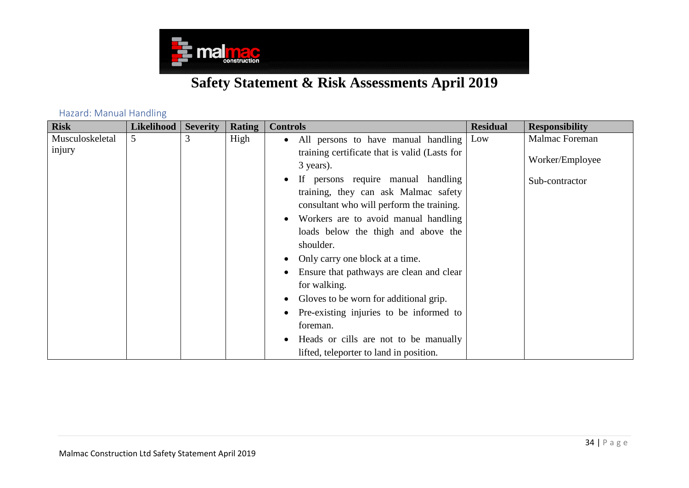

<span id="page-33-0"></span>

| <b>Risk</b>     | <b>Likelihood</b> | <b>Severity</b> | <b>Rating</b> | <b>Controls</b>                                                                   | <b>Residual</b> | <b>Responsibility</b> |
|-----------------|-------------------|-----------------|---------------|-----------------------------------------------------------------------------------|-----------------|-----------------------|
| Musculoskeletal | 5                 | 3               | High          | All persons to have manual handling<br>$\bullet$                                  | Low             | Malmac Foreman        |
| injury          |                   |                 |               | training certificate that is valid (Lasts for<br>3 years).                        |                 | Worker/Employee       |
|                 |                   |                 |               | If persons require manual handling                                                |                 | Sub-contractor        |
|                 |                   |                 |               | training, they can ask Malmac safety<br>consultant who will perform the training. |                 |                       |
|                 |                   |                 |               | Workers are to avoid manual handling                                              |                 |                       |
|                 |                   |                 |               | loads below the thigh and above the                                               |                 |                       |
|                 |                   |                 |               | shoulder.                                                                         |                 |                       |
|                 |                   |                 |               | Only carry one block at a time.                                                   |                 |                       |
|                 |                   |                 |               | Ensure that pathways are clean and clear                                          |                 |                       |
|                 |                   |                 |               | for walking.                                                                      |                 |                       |
|                 |                   |                 |               | Gloves to be worn for additional grip.                                            |                 |                       |
|                 |                   |                 |               | Pre-existing injuries to be informed to                                           |                 |                       |
|                 |                   |                 |               | foreman.                                                                          |                 |                       |
|                 |                   |                 |               | Heads or cills are not to be manually                                             |                 |                       |
|                 |                   |                 |               | lifted, teleporter to land in position.                                           |                 |                       |

#### Hazard: Manual Handling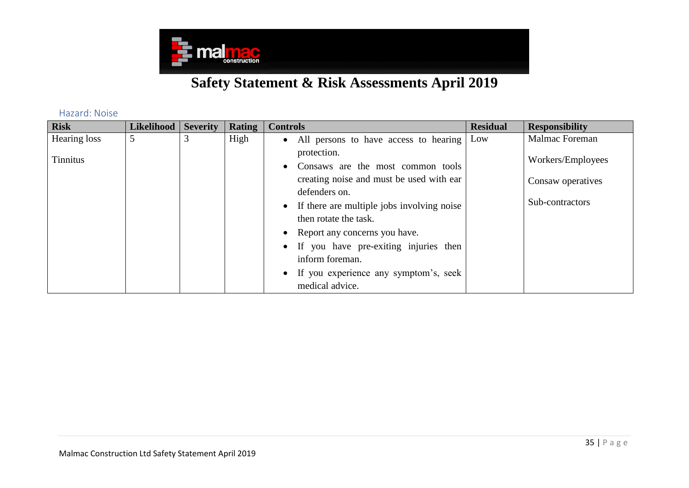

Hazard: Noise

<span id="page-34-0"></span>

| <b>Risk</b>     | <b>Likelihood</b> | <b>Severity</b> | <b>Rating</b> | <b>Controls</b>                                                                                                                                                                                                                                                                           | <b>Residual</b> | <b>Responsibility</b>                                     |
|-----------------|-------------------|-----------------|---------------|-------------------------------------------------------------------------------------------------------------------------------------------------------------------------------------------------------------------------------------------------------------------------------------------|-----------------|-----------------------------------------------------------|
| Hearing loss    | 5                 |                 | High          | • All persons to have access to hearing                                                                                                                                                                                                                                                   | Low             | Malmac Foreman                                            |
| <b>Tinnitus</b> |                   |                 |               | protection.<br>• Consaws are the most common tools<br>creating noise and must be used with ear<br>defenders on.<br>• If there are multiple jobs involving noise<br>then rotate the task.<br>• Report any concerns you have.<br>• If you have pre-exiting injuries then<br>inform foreman. |                 | Workers/Employees<br>Consaw operatives<br>Sub-contractors |
|                 |                   |                 |               | • If you experience any symptom's, seek<br>medical advice.                                                                                                                                                                                                                                |                 |                                                           |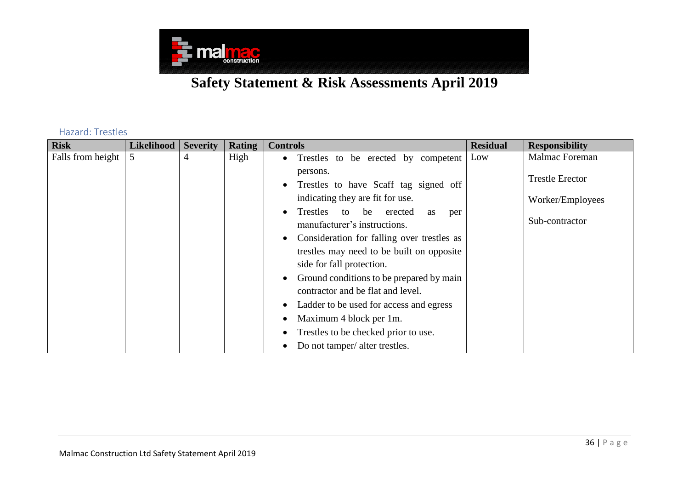

#### Hazard: Trestles

<span id="page-35-0"></span>

| <b>Risk</b>       | <b>Likelihood</b> | <b>Severity</b> | Rating | <b>Controls</b>                                  | <b>Residual</b> | <b>Responsibility</b>  |
|-------------------|-------------------|-----------------|--------|--------------------------------------------------|-----------------|------------------------|
| Falls from height | 5                 | $\overline{4}$  | High   | Trestles to be erected by competent<br>$\bullet$ | Low             | Malmac Foreman         |
|                   |                   |                 |        | persons.                                         |                 |                        |
|                   |                   |                 |        | Trestles to have Scaff tag signed off            |                 | <b>Trestle Erector</b> |
|                   |                   |                 |        | indicating they are fit for use.                 |                 | Worker/Employees       |
|                   |                   |                 |        | Trestles<br>to be erected<br>as<br>per           |                 |                        |
|                   |                   |                 |        | manufacturer's instructions.                     |                 | Sub-contractor         |
|                   |                   |                 |        | Consideration for falling over trestles as       |                 |                        |
|                   |                   |                 |        | trestles may need to be built on opposite        |                 |                        |
|                   |                   |                 |        | side for fall protection.                        |                 |                        |
|                   |                   |                 |        | Ground conditions to be prepared by main         |                 |                        |
|                   |                   |                 |        | contractor and be flat and level.                |                 |                        |
|                   |                   |                 |        | Ladder to be used for access and egress          |                 |                        |
|                   |                   |                 |        | Maximum 4 block per 1m.                          |                 |                        |
|                   |                   |                 |        | Trestles to be checked prior to use.             |                 |                        |
|                   |                   |                 |        | Do not tamper/ alter trestles.                   |                 |                        |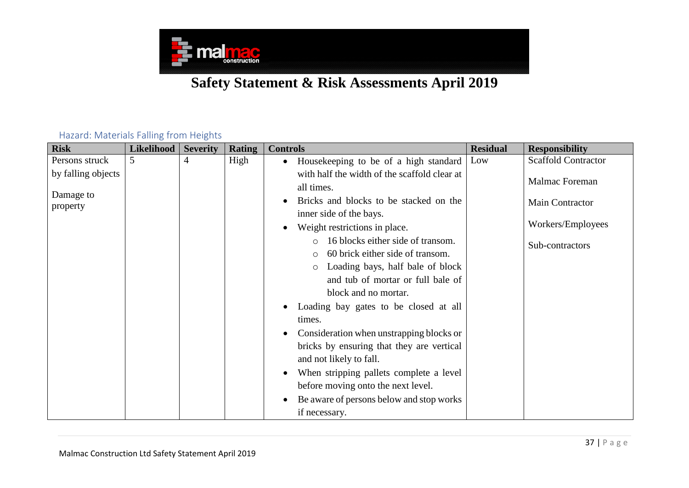

#### Hazard: Materials Falling from Heights

<span id="page-36-0"></span>

| <b>Risk</b>                     | <b>Likelihood</b> | <b>Severity</b> | <b>Rating</b> | <b>Controls</b>                                                                                                                                                                                                                                                                                                               | <b>Residual</b> | <b>Responsibility</b>      |
|---------------------------------|-------------------|-----------------|---------------|-------------------------------------------------------------------------------------------------------------------------------------------------------------------------------------------------------------------------------------------------------------------------------------------------------------------------------|-----------------|----------------------------|
| Persons struck                  | 5                 | 4               | High          | Housekeeping to be of a high standard<br>$\bullet$                                                                                                                                                                                                                                                                            | Low             | <b>Scaffold Contractor</b> |
| by falling objects<br>Damage to |                   |                 |               | with half the width of the scaffold clear at<br>all times.                                                                                                                                                                                                                                                                    |                 | Malmac Foreman             |
| property                        |                   |                 |               | Bricks and blocks to be stacked on the<br>inner side of the bays.                                                                                                                                                                                                                                                             |                 | Main Contractor            |
|                                 |                   |                 |               | Weight restrictions in place.                                                                                                                                                                                                                                                                                                 |                 | Workers/Employees          |
|                                 |                   |                 |               | 16 blocks either side of transom.<br>60 brick either side of transom.<br>Loading bays, half bale of block<br>$\circ$<br>and tub of mortar or full bale of<br>block and no mortar.<br>Loading bay gates to be closed at all<br>times.<br>Consideration when unstrapping blocks or<br>bricks by ensuring that they are vertical |                 | Sub-contractors            |
|                                 |                   |                 |               | and not likely to fall.<br>When stripping pallets complete a level<br>before moving onto the next level.<br>Be aware of persons below and stop works<br>if necessary.                                                                                                                                                         |                 |                            |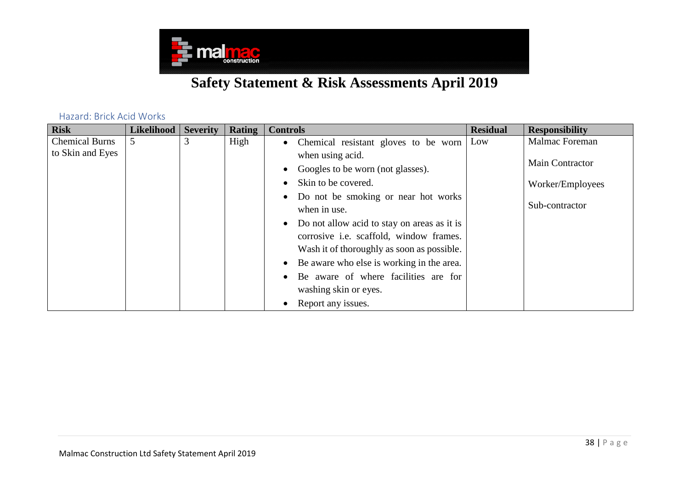

#### Hazard: Brick Acid Works

<span id="page-37-0"></span>

| <b>Risk</b>           | <b>Likelihood</b> | <b>Severity</b> | Rating | <b>Controls</b>                                  | <b>Residual</b> | <b>Responsibility</b> |
|-----------------------|-------------------|-----------------|--------|--------------------------------------------------|-----------------|-----------------------|
| <b>Chemical Burns</b> |                   | 3               | High   | • Chemical resistant gloves to be worn           | Low             | Malmac Foreman        |
| to Skin and Eyes      |                   |                 |        | when using acid.                                 |                 |                       |
|                       |                   |                 |        | Googles to be worn (not glasses).                |                 | Main Contractor       |
|                       |                   |                 |        | Skin to be covered.<br>$\bullet$                 |                 | Worker/Employees      |
|                       |                   |                 |        | Do not be smoking or near hot works<br>$\bullet$ |                 |                       |
|                       |                   |                 |        | when in use.                                     |                 | Sub-contractor        |
|                       |                   |                 |        | • Do not allow acid to stay on areas as it is    |                 |                       |
|                       |                   |                 |        | corrosive i.e. scaffold, window frames.          |                 |                       |
|                       |                   |                 |        | Wash it of thoroughly as soon as possible.       |                 |                       |
|                       |                   |                 |        | • Be aware who else is working in the area.      |                 |                       |
|                       |                   |                 |        | Be aware of where facilities are for             |                 |                       |
|                       |                   |                 |        | washing skin or eyes.                            |                 |                       |
|                       |                   |                 |        | Report any issues.<br>$\bullet$                  |                 |                       |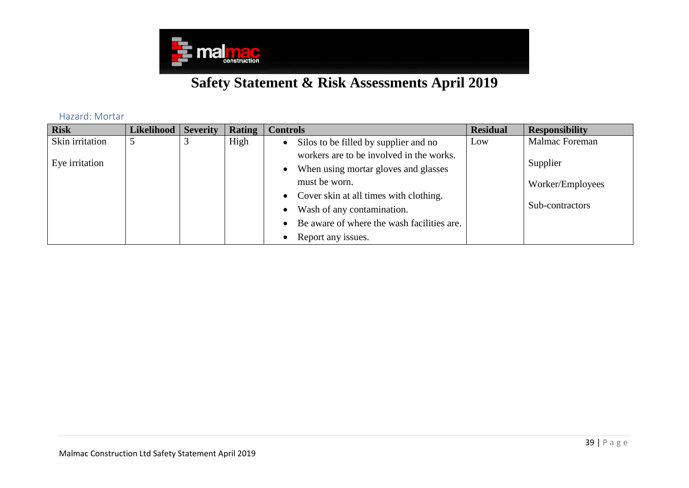

Hazard: Mortar

<span id="page-38-0"></span>

| <b>Risk</b>     | Likelihood | <b>Severity</b> | <b>Rating</b> | <b>Controls</b>                                     | <b>Residual</b> | <b>Responsibility</b> |
|-----------------|------------|-----------------|---------------|-----------------------------------------------------|-----------------|-----------------------|
| Skin irritation | 5          |                 | High          | Silos to be filled by supplier and no<br>$\bullet$  | Low             | Malmac Foreman        |
| Eye irritation  |            |                 |               | workers are to be involved in the works.            |                 | Supplier              |
|                 |            |                 |               | When using mortar gloves and glasses                |                 |                       |
|                 |            |                 |               | must be worn.                                       |                 | Worker/Employees      |
|                 |            |                 |               | Cover skin at all times with clothing.<br>$\bullet$ |                 |                       |
|                 |            |                 |               | Wash of any contamination.                          |                 | Sub-contractors       |
|                 |            |                 |               | Be aware of where the wash facilities are.          |                 |                       |
|                 |            |                 |               | Report any issues.                                  |                 |                       |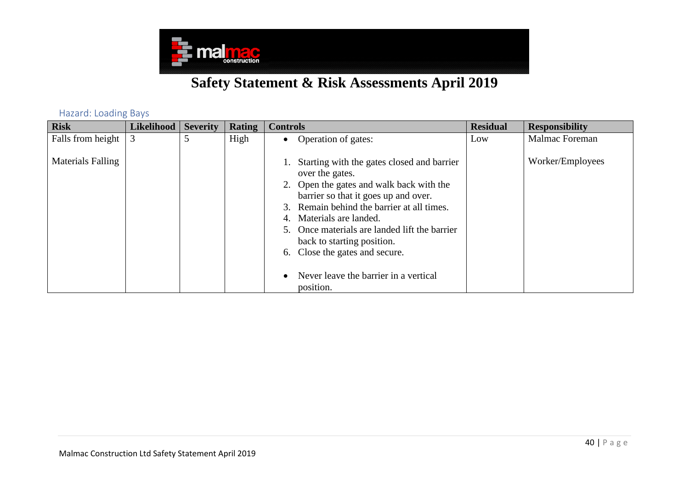

Hazard: Loading Bays

<span id="page-39-0"></span>

| <b>Risk</b>              | <b>Likelihood</b> | <b>Severity</b> | <b>Rating</b> | <b>Controls</b>                                                                                                                                                                                                                                                                                                                                                                        | <b>Residual</b> | <b>Responsibility</b> |
|--------------------------|-------------------|-----------------|---------------|----------------------------------------------------------------------------------------------------------------------------------------------------------------------------------------------------------------------------------------------------------------------------------------------------------------------------------------------------------------------------------------|-----------------|-----------------------|
| Falls from height        |                   | 5               | High          | Operation of gates:<br>$\bullet$                                                                                                                                                                                                                                                                                                                                                       | Low             | Malmac Foreman        |
| <b>Materials Falling</b> |                   |                 |               | Starting with the gates closed and barrier<br>over the gates.<br>Open the gates and walk back with the<br>barrier so that it goes up and over.<br>Remain behind the barrier at all times.<br>Materials are landed.<br>Once materials are landed lift the barrier<br>back to starting position.<br>6. Close the gates and secure.<br>Never leave the barrier in a vertical<br>position. |                 | Worker/Employees      |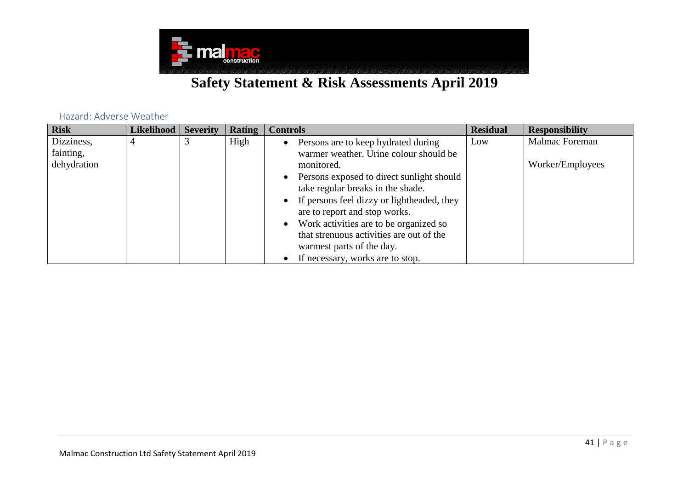

Hazard: Adverse Weather

<span id="page-40-0"></span>

| <b>Risk</b>             | <b>Likelihood</b> | <b>Severity</b> | Rating | <b>Controls</b>                                                                                                   | <b>Residual</b> | <b>Responsibility</b> |
|-------------------------|-------------------|-----------------|--------|-------------------------------------------------------------------------------------------------------------------|-----------------|-----------------------|
| Dizziness,<br>fainting, | $\overline{4}$    |                 | High   | • Persons are to keep hydrated during<br>warmer weather. Urine colour should be                                   | Low             | Malmac Foreman        |
| dehydration             |                   |                 |        | monitored.                                                                                                        |                 | Worker/Employees      |
|                         |                   |                 |        | Persons exposed to direct sunlight should<br>take regular breaks in the shade.                                    |                 |                       |
|                         |                   |                 |        | • If persons feel dizzy or lightheaded, they<br>are to report and stop works.                                     |                 |                       |
|                         |                   |                 |        | • Work activities are to be organized so<br>that strenuous activities are out of the<br>warmest parts of the day. |                 |                       |
|                         |                   |                 |        | If necessary, works are to stop.                                                                                  |                 |                       |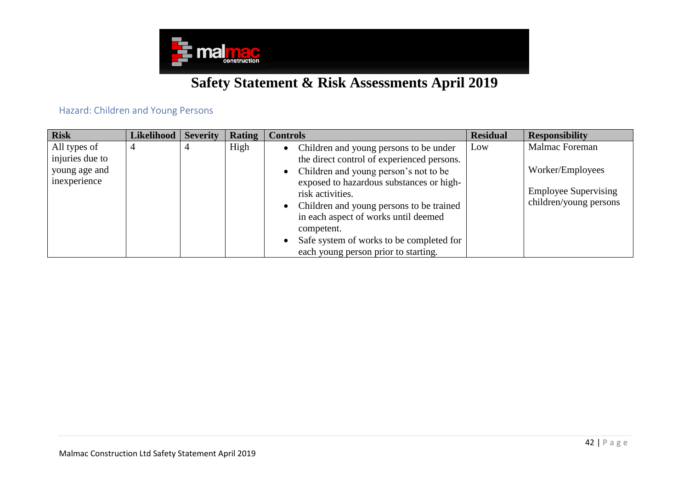

#### Hazard: Children and Young Persons

<span id="page-41-0"></span>

| <b>Risk</b>     | Likelihood | <b>Severity</b> | Rating | <b>Controls</b>                                     | <b>Residual</b> | <b>Responsibility</b>       |
|-----------------|------------|-----------------|--------|-----------------------------------------------------|-----------------|-----------------------------|
| All types of    |            |                 | High   | Children and young persons to be under<br>$\bullet$ | Low             | Malmac Foreman              |
| injuries due to |            |                 |        | the direct control of experienced persons.          |                 |                             |
| young age and   |            |                 |        | • Children and young person's not to be             |                 | Worker/Employees            |
| inexperience    |            |                 |        | exposed to hazardous substances or high-            |                 |                             |
|                 |            |                 |        | risk activities.                                    |                 | <b>Employee Supervising</b> |
|                 |            |                 |        | • Children and young persons to be trained          |                 | children/young persons      |
|                 |            |                 |        | in each aspect of works until deemed                |                 |                             |
|                 |            |                 |        | competent.                                          |                 |                             |
|                 |            |                 |        | Safe system of works to be completed for            |                 |                             |
|                 |            |                 |        | each young person prior to starting.                |                 |                             |